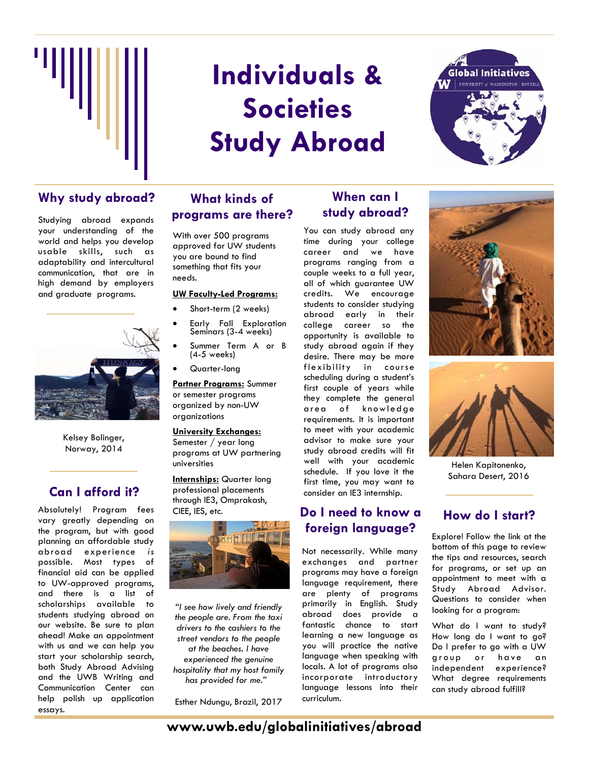

# **Individuals & Societies Study Abroad**



## Why study abroad? What kinds of When can I

Studying abroad expands your understanding of the world and helps you develop usable skills, such as adaptability and intercultural communication, that are in high demand by employers and graduate programs.



Kelsey Bolinger, Norway, 2014

## **Can I afford it?**

Absolutely! Program fees vary greatly depending on the program, but with good planning an affordable study abroad experience *is* possible. Most types of financial aid can be applied to UW-approved programs, and there is a list of scholarships available to students studying abroad on our website. Be sure to plan ahead! Make an appointment with us and we can help you start your scholarship search, both Study Abroad Advising and the UWB Writing and Communication Center can help polish up application essays.

### **What kinds of programs are there?**

With over 500 programs approved for UW students you are bound to find something that fits your needs.

#### **UW Faculty-Led Programs:**

- Short-term (2 weeks)
- Early Fall Exploration Seminars (3-4 weeks)
- Summer Term A or B (4-5 weeks)
- Quarter-long

**Partner Programs:** Summer or semester programs organized by non-UW organizations

#### **University Exchanges:**

Semester / year long programs at UW partnering universities

**Internships:** Quarter long professional placements through IE3, Omprakash, CIEE, IES, etc.



*"I see how lively and friendly the people are. From the taxi drivers to the cashiers to the street vendors to the people at the beaches. I have experienced the genuine hospitality that my host family has provided for me."* 

Esther Ndungu, Brazil, 2017

## **study abroad?**

You can study abroad any time during your college career and we have programs ranging from a couple weeks to a full year, all of which guarantee UW credits. We encourage students to consider studying abroad early in their college career so the opportunity is available to study abroad again if they desire. There may be more flexibility in course scheduling during a student's first couple of years while they complete the general area of knowledge requirements. It is important to meet with your academic advisor to make sure your study abroad credits will fit well with your academic schedule. If you love it the first time, you may want to consider an IE3 internship.

## **Do I need to know a foreign language?**

Not necessarily. While many exchanges and partner programs may have a foreign language requirement, there are plenty of programs primarily in English. Study abroad does provide a fantastic chance to start learning a new language as you will practice the native language when speaking with locals. A lot of programs also incorporate introductory language lessons into their curriculum.





Helen Kapitonenko, Sahara Desert, 2016

### **How do I start?**

Explore! Follow the link at the bottom of this page to review the tips and resources, search for programs, or set up an appointment to meet with a Study Abroad Advisor. Questions to consider when looking for a program:

What do I want to study? How long do I want to go? Do I prefer to go with a UW group or have an independent experience? What degree requirements can study abroad fulfill?